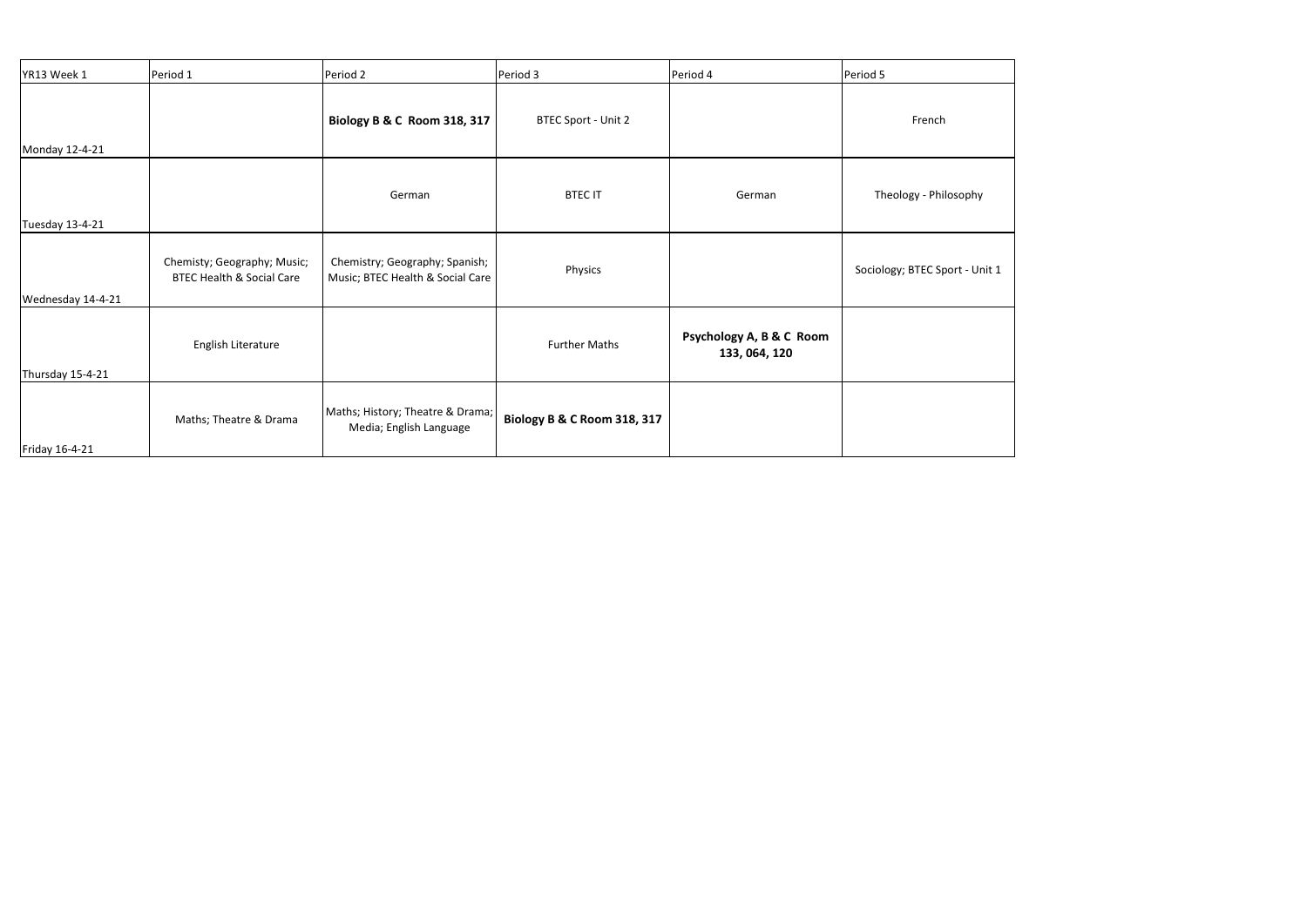| YR13 Week 1       | Period 1                                                            | Period 2                                                           | Period 3                               | Period 4                                  | Period 5                       |
|-------------------|---------------------------------------------------------------------|--------------------------------------------------------------------|----------------------------------------|-------------------------------------------|--------------------------------|
| Monday 12-4-21    |                                                                     | <b>Biology B &amp; C Room 318, 317</b>                             | BTEC Sport - Unit 2                    |                                           | French                         |
| Tuesday 13-4-21   |                                                                     | German                                                             | <b>BTEC IT</b>                         | German                                    | Theology - Philosophy          |
| Wednesday 14-4-21 | Chemisty; Geography; Music;<br><b>BTEC Health &amp; Social Care</b> | Chemistry; Geography; Spanish;<br>Music; BTEC Health & Social Care | Physics                                |                                           | Sociology; BTEC Sport - Unit 1 |
| Thursday 15-4-21  | English Literature                                                  |                                                                    | <b>Further Maths</b>                   | Psychology A, B & C Room<br>133, 064, 120 |                                |
| Friday 16-4-21    | Maths; Theatre & Drama                                              | Maths; History; Theatre & Drama;<br>Media; English Language        | <b>Biology B &amp; C Room 318, 317</b> |                                           |                                |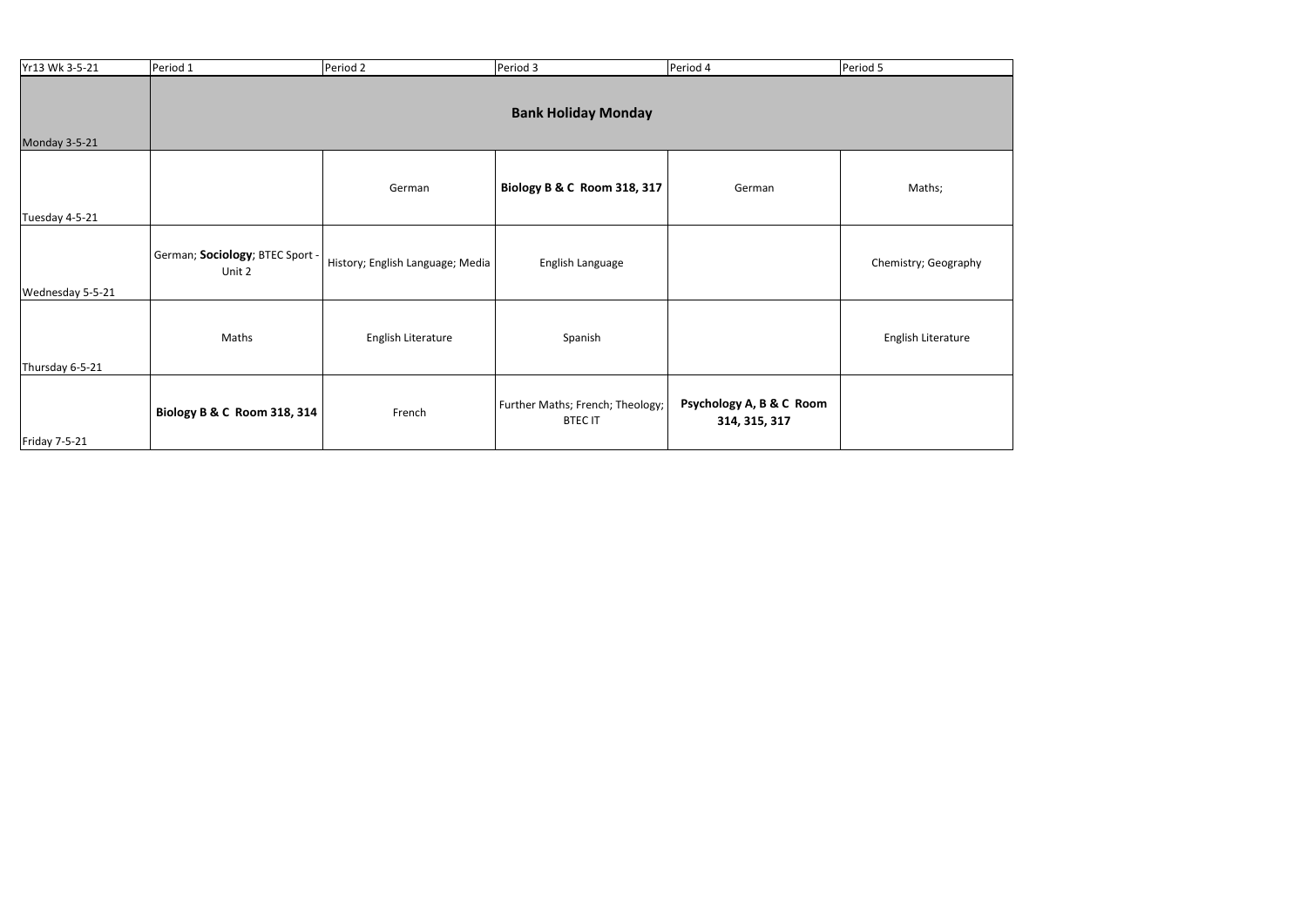| Yr13 Wk 3-5-21   | Period 1                                  | Period 2                         | Period 3                                           | Period 4                                  | Period 5             |  |  |
|------------------|-------------------------------------------|----------------------------------|----------------------------------------------------|-------------------------------------------|----------------------|--|--|
| Monday 3-5-21    | <b>Bank Holiday Monday</b>                |                                  |                                                    |                                           |                      |  |  |
| Tuesday 4-5-21   |                                           | German                           | <b>Biology B &amp; C Room 318, 317</b>             | German                                    | Maths;               |  |  |
| Wednesday 5-5-21 | German; Sociology; BTEC Sport -<br>Unit 2 | History; English Language; Media | English Language                                   |                                           | Chemistry; Geography |  |  |
| Thursday 6-5-21  | Maths                                     | English Literature               | Spanish                                            |                                           | English Literature   |  |  |
| Friday 7-5-21    | Biology B & C Room 318, 314               | French                           | Further Maths; French; Theology;<br><b>BTEC IT</b> | Psychology A, B & C Room<br>314, 315, 317 |                      |  |  |